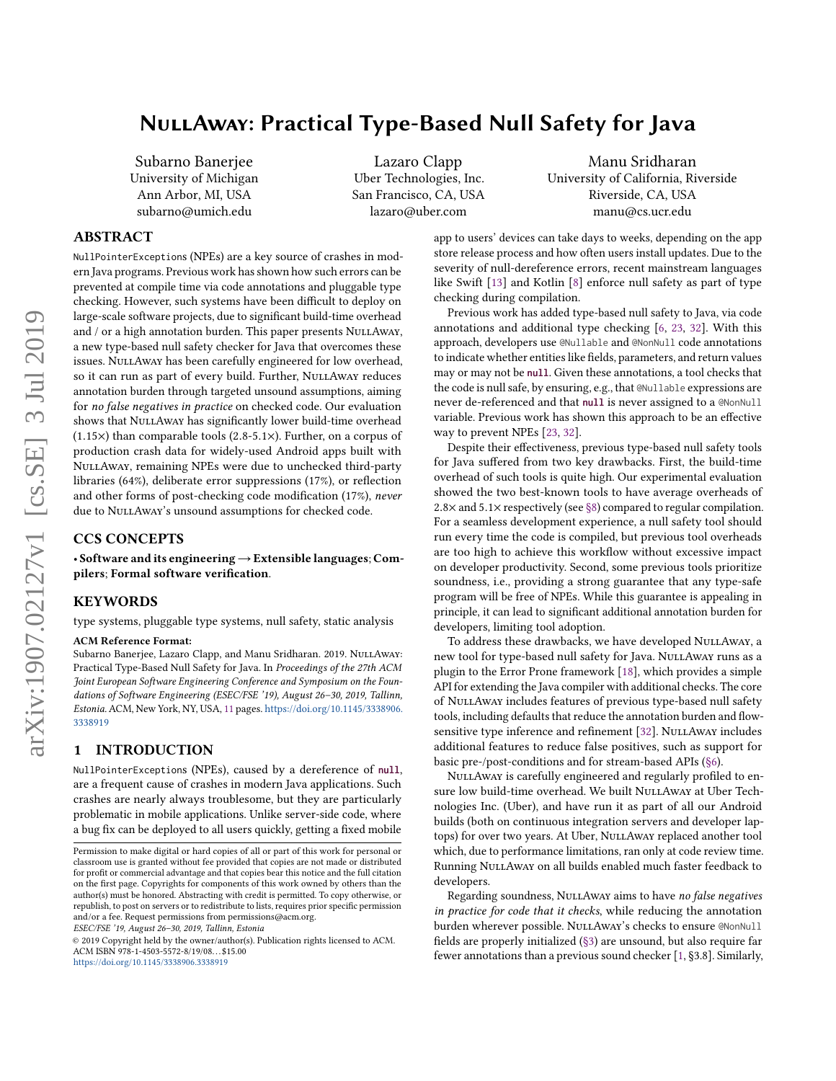# NullAway: Practical Type-Based Null Safety for Java

Subarno Banerjee University of Michigan Ann Arbor, MI, USA subarno@umich.edu

Lazaro Clapp Uber Technologies, Inc. San Francisco, CA, USA lazaro@uber.com

Manu Sridharan University of California, Riverside Riverside, CA, USA manu@cs.ucr.edu

# ABSTRACT

NullPointerExceptions (NPEs) are a key source of crashes in modern Java programs. Previous work has shown how such errors can be prevented at compile time via code annotations and pluggable type checking. However, such systems have been difficult to deploy on large-scale software projects, due to significant build-time overhead and / or a high annotation burden. This paper presents NuLLAway, a new type-based null safety checker for Java that overcomes these issues. NuLLAway has been carefully engineered for low overhead, so it can run as part of every build. Further, NULLAWAY reduces annotation burden through targeted unsound assumptions, aiming for no false negatives in practice on checked code. Our evaluation shows that NULLAway has significantly lower build-time overhead  $(1.15\times)$  than comparable tools  $(2.8-5.1\times)$ . Further, on a corpus of production crash data for widely-used Android apps built with NullAway, remaining NPEs were due to unchecked third-party libraries (64%), deliberate error suppressions (17%), or reflection and other forms of post-checking code modification (17%), never due to NULLAWAY's unsound assumptions for checked code.

# CCS CONCEPTS

• Software and its engineering→Extensible languages; Compilers; Formal software verification.

## KEYWORDS

type systems, pluggable type systems, null safety, static analysis

#### ACM Reference Format:

Subarno Banerjee, Lazaro Clapp, and Manu Sridharan. 2019. NULLAway: Practical Type-Based Null Safety for Java. In Proceedings of the 27th ACM Joint European Software Engineering Conference and Symposium on the Foundations of Software Engineering (ESEC/FSE '19), August 26–30, 2019, Tallinn, Estonia. ACM, New York, NY, USA, [11](#page-10-0) pages. [https://doi.org/10.1145/3338906.](https://doi.org/10.1145/3338906.3338919) [3338919](https://doi.org/10.1145/3338906.3338919)

# 1 INTRODUCTION

NullPointerExceptions (NPEs), caused by a dereference of **null**, are a frequent cause of crashes in modern Java applications. Such crashes are nearly always troublesome, but they are particularly problematic in mobile applications. Unlike server-side code, where a bug fix can be deployed to all users quickly, getting a fixed mobile

ESEC/FSE '19, August 26–30, 2019, Tallinn, Estonia

app to users' devices can take days to weeks, depending on the app store release process and how often users install updates. Due to the severity of null-dereference errors, recent mainstream languages like Swift [\[13\]](#page-10-1) and Kotlin [\[8\]](#page-10-2) enforce null safety as part of type checking during compilation.

Previous work has added type-based null safety to Java, via code annotations and additional type checking [\[6,](#page-10-3) [23,](#page-10-4) [32\]](#page-10-5). With this approach, developers use @Nullable and @NonNull code annotations to indicate whether entities like fields, parameters, and return values may or may not be **null**. Given these annotations, a tool checks that the code is null safe, by ensuring, e.g., that @Nullable expressions are never de-referenced and that **null** is never assigned to a @NonNull variable. Previous work has shown this approach to be an effective way to prevent NPEs [\[23,](#page-10-4) [32\]](#page-10-5).

Despite their effectiveness, previous type-based null safety tools for Java suffered from two key drawbacks. First, the build-time overhead of such tools is quite high. Our experimental evaluation showed the two best-known tools to have average overheads of 2.8 $\times$  and 5.1 $\times$  respectively (see [§8\)](#page-6-0) compared to regular compilation. For a seamless development experience, a null safety tool should run every time the code is compiled, but previous tool overheads are too high to achieve this workflow without excessive impact on developer productivity. Second, some previous tools prioritize soundness, i.e., providing a strong guarantee that any type-safe program will be free of NPEs. While this guarantee is appealing in principle, it can lead to significant additional annotation burden for developers, limiting tool adoption.

To address these drawbacks, we have developed NULLAway, a new tool for type-based null safety for Java. NullAway runs as a plugin to the Error Prone framework [\[18\]](#page-10-6), which provides a simple API for extending the Java compiler with additional checks. The core of NullAway includes features of previous type-based null safety tools, including defaults that reduce the annotation burden and flow-sensitive type inference and refinement [\[32\]](#page-10-5). NuLLAway includes additional features to reduce false positives, such as support for basic pre-/post-conditions and for stream-based APIs [\(§6\)](#page-5-0).

NULLAWAY is carefully engineered and regularly profiled to ensure low build-time overhead. We built NULLAWAY at Uber Technologies Inc. (Uber), and have run it as part of all our Android builds (both on continuous integration servers and developer laptops) for over two years. At Uber, NullAway replaced another tool which, due to performance limitations, ran only at code review time. Running NuLLAway on all builds enabled much faster feedback to developers.

Regarding soundness, NuLLAway aims to have no false negatives in practice for code that it checks, while reducing the annotation burden wherever possible. NuLLAway's checks to ensure @NonNull fields are properly initialized [\(§3\)](#page-2-0) are unsound, but also require far fewer annotations than a previous sound checker [\[1,](#page-10-7) §3.8]. Similarly,

Permission to make digital or hard copies of all or part of this work for personal or classroom use is granted without fee provided that copies are not made or distributed for profit or commercial advantage and that copies bear this notice and the full citation on the first page. Copyrights for components of this work owned by others than the author(s) must be honored. Abstracting with credit is permitted. To copy otherwise, or republish, to post on servers or to redistribute to lists, requires prior specific permission and/or a fee. Request permissions from permissions@acm.org.

<sup>©</sup> 2019 Copyright held by the owner/author(s). Publication rights licensed to ACM. ACM ISBN 978-1-4503-5572-8/19/08. . . \$15.00 <https://doi.org/10.1145/3338906.3338919>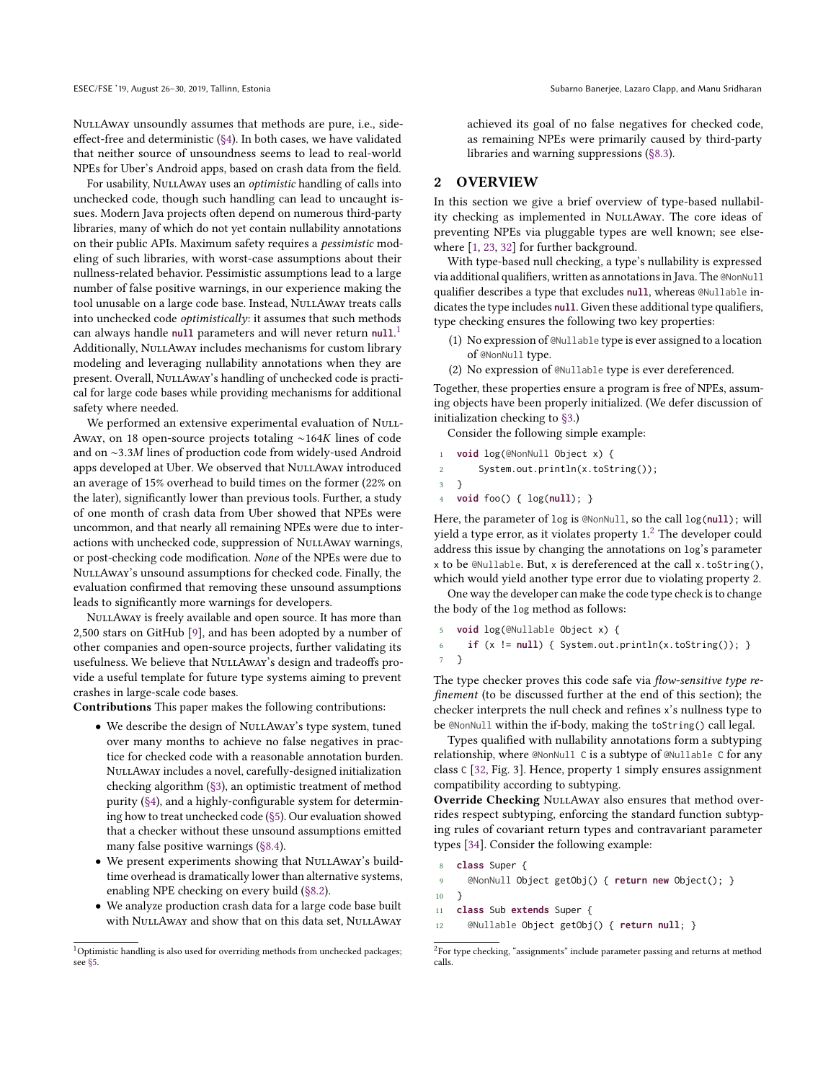NullAway unsoundly assumes that methods are pure, i.e., sideeffect-free and deterministic [\(§4\)](#page-3-0). In both cases, we have validated that neither source of unsoundness seems to lead to real-world NPEs for Uber's Android apps, based on crash data from the field.

For usability, NuLLAway uses an *optimistic* handling of calls into unchecked code, though such handling can lead to uncaught issues. Modern Java projects often depend on numerous third-party libraries, many of which do not yet contain nullability annotations on their public APIs. Maximum safety requires a pessimistic modeling of such libraries, with worst-case assumptions about their nullness-related behavior. Pessimistic assumptions lead to a large number of false positive warnings, in our experience making the tool unusable on a large code base. Instead, NULLAWAY treats calls into unchecked code optimistically: it assumes that such methods can always handle **null** parameters and will never return **null**. [1](#page-1-0) Additionally, NuLLAway includes mechanisms for custom library modeling and leveraging nullability annotations when they are present. Overall, NuLLAway's handling of unchecked code is practical for large code bases while providing mechanisms for additional safety where needed.

We performed an extensive experimental evaluation of NuLL-Away, on 18 open-source projects totaling ∼164K lines of code and on <sup>∼</sup>3.3<sup>M</sup> lines of production code from widely-used Android apps developed at Uber. We observed that NULLAWAY introduced an average of 15% overhead to build times on the former (22% on the later), significantly lower than previous tools. Further, a study of one month of crash data from Uber showed that NPEs were uncommon, and that nearly all remaining NPEs were due to interactions with unchecked code, suppression of NULLAWAY warnings, or post-checking code modification. None of the NPEs were due to NullAway's unsound assumptions for checked code. Finally, the evaluation confirmed that removing these unsound assumptions leads to significantly more warnings for developers.

NULLAWAY is freely available and open source. It has more than 2,500 stars on GitHub [\[9\]](#page-10-8), and has been adopted by a number of other companies and open-source projects, further validating its usefulness. We believe that NULLAway's design and tradeoffs provide a useful template for future type systems aiming to prevent crashes in large-scale code bases.

Contributions This paper makes the following contributions:

- We describe the design of NULLAWAY's type system, tuned over many months to achieve no false negatives in practice for checked code with a reasonable annotation burden. NullAway includes a novel, carefully-designed initialization checking algorithm [\(§3\)](#page-2-0), an optimistic treatment of method purity [\(§4\)](#page-3-0), and a highly-configurable system for determining how to treat unchecked code [\(§5\)](#page-4-0). Our evaluation showed that a checker without these unsound assumptions emitted many false positive warnings [\(§8.4\)](#page-8-0).
- We present experiments showing that NuLLAway's buildtime overhead is dramatically lower than alternative systems, enabling NPE checking on every build [\(§8.2\)](#page-7-0).
- We analyze production crash data for a large code base built with NuLLAway and show that on this data set, NuLLAway

achieved its goal of no false negatives for checked code, as remaining NPEs were primarily caused by third-party libraries and warning suppressions [\(§8.3\)](#page-7-1).

## <span id="page-1-3"></span>2 OVERVIEW

In this section we give a brief overview of type-based nullability checking as implemented in NullAway. The core ideas of preventing NPEs via pluggable types are well known; see elsewhere [\[1,](#page-10-7) [23,](#page-10-4) [32\]](#page-10-5) for further background.

With type-based null checking, a type's nullability is expressed via additional qualifiers, written as annotations in Java. The @NonNull qualifier describes a type that excludes **null**, whereas @Nullable indicates the type includes **null**. Given these additional type qualifiers, type checking ensures the following two key properties:

- (1) No expression of @Nullable type is ever assigned to a location of @NonNull type.
- (2) No expression of @Nullable type is ever dereferenced.

Together, these properties ensure a program is free of NPEs, assuming objects have been properly initialized. (We defer discussion of initialization checking to [§3.](#page-2-0))

Consider the following simple example:

- 1 **void** log(@NonNull Object x) {
- 2 System.out.println(x.toString());
- 3 }
- 4 **void** foo() { log(**null**); }

Here, the parameter of log is @NonNull, so the call log(**null**); will yield a type error, as it violates property  $1<sup>2</sup>$  $1<sup>2</sup>$  $1<sup>2</sup>$  The developer could address this issue by changing the annotations on log's parameter x to be @Nullable. But, x is dereferenced at the call x.toString(), which would yield another type error due to violating property 2.

One way the developer can make the code type check is to change the body of the log method as follows:

```
5 void log(@Nullable Object x) {
     6 if (x != null) { System.out.println(x.toString()); }
7 }
```
The type checker proves this code safe via flow-sensitive type refinement (to be discussed further at the end of this section); the checker interprets the null check and refines x's nullness type to be @NonNull within the if-body, making the toString() call legal.

Types qualified with nullability annotations form a subtyping relationship, where @NonNull C is a subtype of @Nullable C for any class C [\[32,](#page-10-5) Fig. 3]. Hence, property 1 simply ensures assignment compatibility according to subtyping.

Override Checking NULLAWAY also ensures that method overrides respect subtyping, enforcing the standard function subtyping rules of covariant return types and contravariant parameter types [\[34\]](#page-10-9). Consider the following example:

```
8 class Super {
```

```
9 @NonNull Object getObj() { return new Object(); }
```

```
10 }
```
- 11 **class** Sub **extends** Super {
- 12 @Nullable Object getObj() { **return null**; }

<span id="page-1-0"></span><sup>&</sup>lt;sup>1</sup>Optimistic handling is also used for overriding methods from unchecked packages; see [§5.](#page-4-0)

<span id="page-1-1"></span> ${}^{2}$ For type checking, "assignments" include parameter passing and returns at method calls.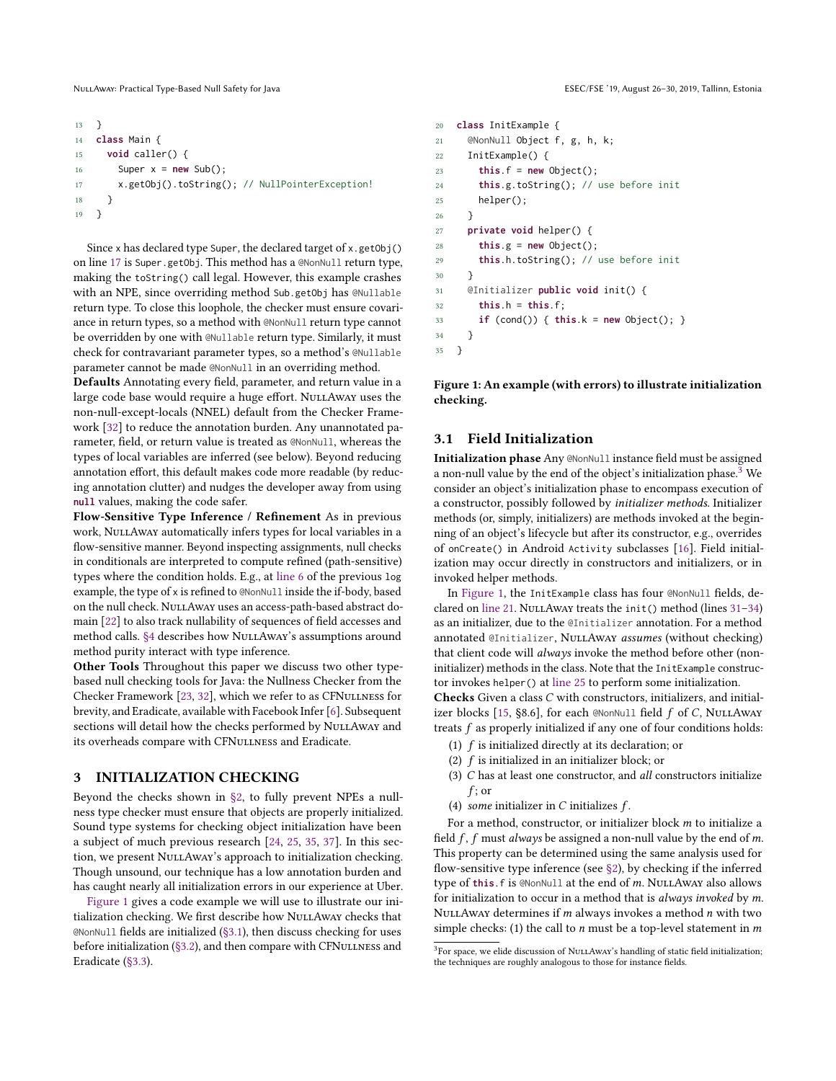```
13 }
14 class Main {
15 void caller() {
16 Super x = new Sub();
17 x.getObj().toString(); // NullPointerException!
18 }
19 }
```
Since x has declared type Super, the declared target of x.getObj() on line [17](#page-2-1) is Super.getObj. This method has a @NonNull return type, making the toString() call legal. However, this example crashes with an NPE, since overriding method Sub.getObj has @Nullable return type. To close this loophole, the checker must ensure covariance in return types, so a method with @NonNull return type cannot be overridden by one with @Nullable return type. Similarly, it must check for contravariant parameter types, so a method's @Nullable parameter cannot be made @NonNull in an overriding method.

Defaults Annotating every field, parameter, and return value in a large code base would require a huge effort. NULLAWAY uses the non-null-except-locals (NNEL) default from the Checker Framework [\[32\]](#page-10-5) to reduce the annotation burden. Any unannotated parameter, field, or return value is treated as @NonNull, whereas the types of local variables are inferred (see below). Beyond reducing annotation effort, this default makes code more readable (by reducing annotation clutter) and nudges the developer away from using **null** values, making the code safer.

Flow-Sensitive Type Inference / Refinement As in previous work, NuLLAway automatically infers types for local variables in a flow-sensitive manner. Beyond inspecting assignments, null checks in conditionals are interpreted to compute refined (path-sensitive) types where the condition holds. E.g., at [line 6](#page-1-2) of the previous log example, the type of x is refined to @NonNull inside the if-body, based on the null check. NullAway uses an access-path-based abstract domain [\[22\]](#page-10-10) to also track nullability of sequences of field accesses and method calls. [§4](#page-3-0) describes how NuLLAway's assumptions around method purity interact with type inference.

Other Tools Throughout this paper we discuss two other typebased null checking tools for Java: the Nullness Checker from the Checker Framework [\[23,](#page-10-4) [32\]](#page-10-5), which we refer to as CFNullness for brevity, and Eradicate, available with Facebook Infer [\[6\]](#page-10-3). Subsequent sections will detail how the checks performed by NULLAWAY and its overheads compare with CFNuLLNESS and Eradicate.

## <span id="page-2-0"></span>3 INITIALIZATION CHECKING

Beyond the checks shown in [§2,](#page-1-3) to fully prevent NPEs a nullness type checker must ensure that objects are properly initialized. Sound type systems for checking object initialization have been a subject of much previous research [\[24,](#page-10-11) [25,](#page-10-12) [35,](#page-10-13) [37\]](#page-10-14). In this section, we present NULLAWAY's approach to initialization checking. Though unsound, our technique has a low annotation burden and has caught nearly all initialization errors in our experience at Uber.

[Figure 1](#page-2-2) gives a code example we will use to illustrate our initialization checking. We first describe how NuLLAway checks that @NonNull fields are initialized [\(§3.1\)](#page-2-3), then discuss checking for uses before initialization [\(§3.2\)](#page-3-1), and then compare with CFNULLNESS and Eradicate [\(§3.3\)](#page-3-2).

```
20 class InitExample {
21 @NonNull Object f, g, h, k;
22 InitExample() {
23 this.f = new Object();
24 this.g.toString(); // use before init
25 helper();
26 }
27 private void helper() {
28 this.g = new Object();
29 this.h.toString(); // use before init
30 }
31 @Initializer public void init() {
32 this.h = this.f;
33 if (cond()) { this.k = new Object(); }
34 }
35 }
```
<span id="page-2-12"></span><span id="page-2-11"></span><span id="page-2-7"></span><span id="page-2-6"></span>Figure 1: An example (with errors) to illustrate initialization checking.

## <span id="page-2-3"></span>3.1 Field Initialization

Initialization phase Any @NonNull instance field must be assigned a non-null value by the end of the object's initialization phase.[3](#page-2-4) We consider an object's initialization phase to encompass execution of a constructor, possibly followed by initializer methods. Initializer methods (or, simply, initializers) are methods invoked at the beginning of an object's lifecycle but after its constructor, e.g., overrides of onCreate() in Android Activity subclasses [\[16\]](#page-10-15). Field initialization may occur directly in constructors and initializers, or in invoked helper methods.

In [Figure 1,](#page-2-2) the InitExample class has four @NonNull fields, declared on [line 21.](#page-2-5) NULLAWAY treats the init() method (lines  $31-34$  $31-34$ ) as an initializer, due to the @Initializer annotation. For a method annotated @Initializer, NuLLAway assumes (without checking) that client code will always invoke the method before other (noninitializer) methods in the class. Note that the InitExample constructor invokes helper() at [line 25](#page-2-8) to perform some initialization.

Checks Given a class C with constructors, initializers, and initial-izer blocks [\[15,](#page-10-16) §8.6], for each @NonNull field  $f$  of  $C$ , NullAway treats  $f$  as properly initialized if any one of four conditions holds:

- (1) f is initialized directly at its declaration; or
- (2) f is initialized in an initializer block; or
- (3) C has at least one constructor, and all constructors initialize  $f$ ; or
- (4) some initializer in C initializes  $f$ .

For a method, constructor, or initializer block m to initialize a field  $f$ ,  $f$  must always be assigned a non-null value by the end of m. This property can be determined using the same analysis used for flow-sensitive type inference (see [§2\)](#page-1-3), by checking if the inferred type of this. f is @NonNull at the end of m. NULLAWAY also allows for initialization to occur in a method that is always invoked by m. NULLAWAY determines if  $m$  always invokes a method  $n$  with two simple checks: (1) the call to  $n$  must be a top-level statement in  $m$ 

<span id="page-2-4"></span> $3$ For space, we elide discussion of NULLAWAY's handling of static field initialization; the techniques are roughly analogous to those for instance fields.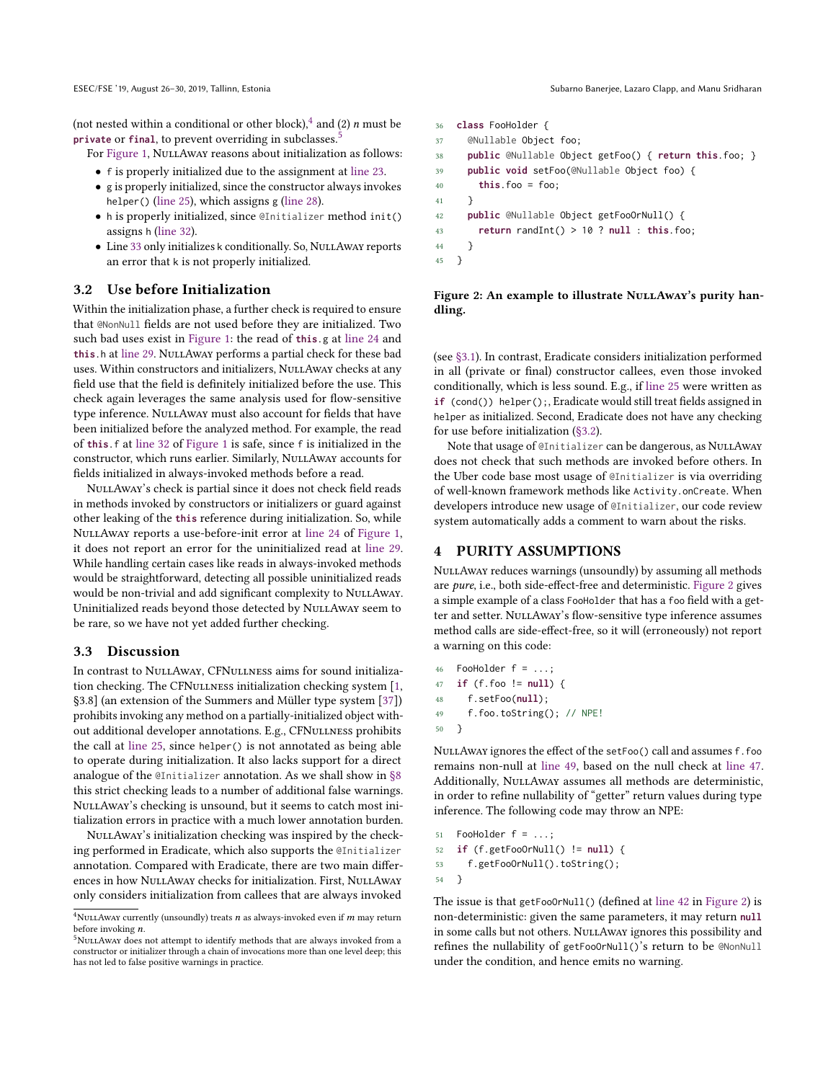(not nested within a conditional or other block),  $\frac{4}{3}$  $\frac{4}{3}$  $\frac{4}{3}$  and (2) *n* must be **private** or **final**, to prevent overriding in subclasses.[5](#page-3-4)

For [Figure 1,](#page-2-2) NuLLAway reasons about initialization as follows:

- f is properly initialized due to the assignment at [line 23.](#page-2-9)
- g is properly initialized, since the constructor always invokes helper() [\(line 25\)](#page-2-8), which assigns g [\(line 28\)](#page-2-10).
- h is properly initialized, since @Initializer method init() assigns h [\(line 32\)](#page-2-11).
- Line [33](#page-2-12) only initializes k conditionally. So, NuLLAWAY reports an error that k is not properly initialized.

#### <span id="page-3-1"></span>3.2 Use before Initialization

Within the initialization phase, a further check is required to ensure that @NonNull fields are not used before they are initialized. Two such bad uses exist in [Figure 1:](#page-2-2) the read of **this**.g at [line 24](#page-2-13) and this.h at [line 29.](#page-2-14) NuLLAway performs a partial check for these bad uses. Within constructors and initializers, NULLAWAY checks at any field use that the field is definitely initialized before the use. This check again leverages the same analysis used for flow-sensitive type inference. NuLLAwAY must also account for fields that have been initialized before the analyzed method. For example, the read of **this**.f at [line 32](#page-2-11) of [Figure 1](#page-2-2) is safe, since f is initialized in the constructor, which runs earlier. Similarly, NullAway accounts for fields initialized in always-invoked methods before a read.

NullAway's check is partial since it does not check field reads in methods invoked by constructors or initializers or guard against other leaking of the **this** reference during initialization. So, while NullAway reports a use-before-init error at [line 24](#page-2-13) of [Figure 1,](#page-2-2) it does not report an error for the uninitialized read at [line 29.](#page-2-14) While handling certain cases like reads in always-invoked methods would be straightforward, detecting all possible uninitialized reads would be non-trivial and add significant complexity to NULLAWAY. Uninitialized reads beyond those detected by NuLLAway seem to be rare, so we have not yet added further checking.

#### <span id="page-3-2"></span>3.3 Discussion

In contrast to NULLAWAY, CFNULLNESS aims for sound initialization checking. The CFNullness initialization checking system [\[1,](#page-10-7) §3.8] (an extension of the Summers and Müller type system [\[37\]](#page-10-14)) prohibits invoking any method on a partially-initialized object without additional developer annotations. E.g., CFNULLNESS prohibits the call at [line 25,](#page-2-8) since helper() is not annotated as being able to operate during initialization. It also lacks support for a direct analogue of the @Initializer annotation. As we shall show in [§8](#page-6-0) this strict checking leads to a number of additional false warnings. NullAway's checking is unsound, but it seems to catch most initialization errors in practice with a much lower annotation burden.

NULLAWAY's initialization checking was inspired by the checking performed in Eradicate, which also supports the @Initializer annotation. Compared with Eradicate, there are two main differences in how NuLLAway checks for initialization. First, NuLLAway only considers initialization from callees that are always invoked

ESEC/FSE '19, August 26–30, 2019, Tallinn, Estonia Subarno Banerjee, Lazaro Clapp, and Manu Sridharan

```
36 class FooHolder {
37 @Nullable Object foo;
38 public @Nullable Object getFoo() { return this.foo; }
39 public void setFoo(@Nullable Object foo) {
40 this.foo = foo;
41 }
42 public @Nullable Object getFooOrNull() {
43 return randInt() > 10 ? null : this.foo;
44 }
45 }
```
Figure 2: An example to illustrate NULLAWAY's purity handling.

(see [§3.1\)](#page-2-3). In contrast, Eradicate considers initialization performed in all (private or final) constructor callees, even those invoked conditionally, which is less sound. E.g., if [line 25](#page-2-8) were written as **if** (cond()) helper();, Eradicate would still treat fields assigned in helper as initialized. Second, Eradicate does not have any checking for use before initialization [\(§3.2\)](#page-3-1).

Note that usage of @Initializer can be dangerous, as NuLLAway does not check that such methods are invoked before others. In the Uber code base most usage of @Initializer is via overriding of well-known framework methods like Activity.onCreate. When developers introduce new usage of @Initializer, our code review system automatically adds a comment to warn about the risks.

## <span id="page-3-0"></span>PURITY ASSUMPTIONS

NuLLAway reduces warnings (unsoundly) by assuming all methods are pure, i.e., both side-effect-free and deterministic. [Figure 2](#page-3-5) gives a simple example of a class FooHolder that has a foo field with a getter and setter. NULLAway's flow-sensitive type inference assumes method calls are side-effect-free, so it will (erroneously) not report a warning on this code:

```
46 FooHolder f = \ldots;47 if (f.foo != null) {
48 f.setFoo(null);
49 f.foo.toString(); // NPE!
50 }
```
NullAway ignores the effect of the setFoo() call and assumes f.foo remains non-null at [line 49,](#page-3-6) based on the null check at [line 47.](#page-3-7) Additionally, NuLLAway assumes all methods are deterministic, in order to refine nullability of "getter" return values during type inference. The following code may throw an NPE:

```
51 FooHolder f = ...;52 if (f.getFooOrNull() != null) {
53 f.getFooOrNull().toString();
54 }
```
The issue is that getFooOrNull() (defined at [line 42](#page-3-8) in [Figure 2\)](#page-3-5) is non-deterministic: given the same parameters, it may return **null** in some calls but not others. NULLAWAY ignores this possibility and refines the nullability of getFooOrNull()'s return to be @NonNull under the condition, and hence emits no warning.

<span id="page-3-3"></span><sup>&</sup>lt;sup>4</sup>NULLAWAY currently (unsoundly) treats  $n$  as always-invoked even if  $m$  may return before invoking n.

<span id="page-3-4"></span><sup>&</sup>lt;sup>5</sup>NULLAWAY does not attempt to identify methods that are always invoked from a constructor or initializer through a chain of invocations more than one level deep; this has not led to false positive warnings in practice.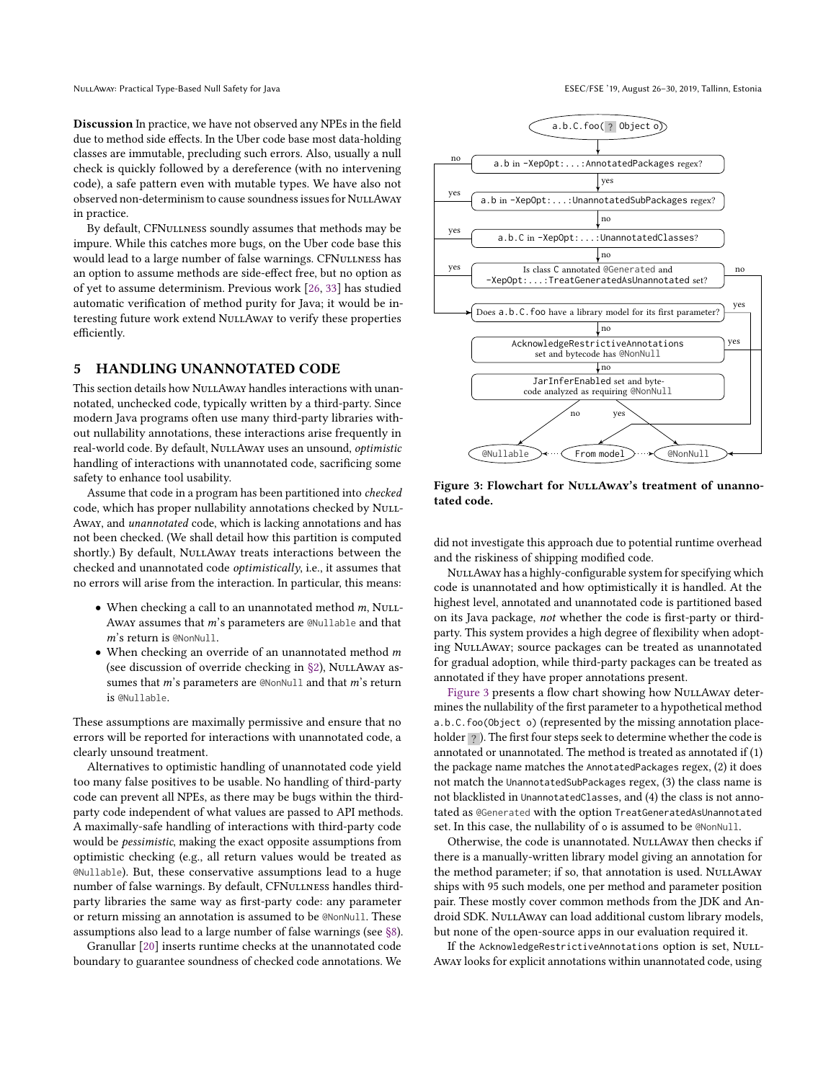Discussion In practice, we have not observed any NPEs in the field due to method side effects. In the Uber code base most data-holding classes are immutable, precluding such errors. Also, usually a null check is quickly followed by a dereference (with no intervening code), a safe pattern even with mutable types. We have also not observed non-determinism to cause soundness issues for NULLAWAY in practice.

By default, CFNULLNESS soundly assumes that methods may be impure. While this catches more bugs, on the Uber code base this would lead to a large number of false warnings. CFNULLNESS has an option to assume methods are side-effect free, but no option as of yet to assume determinism. Previous work [\[26,](#page-10-17) [33\]](#page-10-18) has studied automatic verification of method purity for Java; it would be interesting future work extend NullAway to verify these properties efficiently.

## <span id="page-4-0"></span>5 HANDLING UNANNOTATED CODE

This section details how NuLLAway handles interactions with unannotated, unchecked code, typically written by a third-party. Since modern Java programs often use many third-party libraries without nullability annotations, these interactions arise frequently in real-world code. By default, NULLAWAY uses an unsound, optimistic handling of interactions with unannotated code, sacrificing some safety to enhance tool usability.

Assume that code in a program has been partitioned into checked code, which has proper nullability annotations checked by NuLL-Away, and unannotated code, which is lacking annotations and has not been checked. (We shall detail how this partition is computed shortly.) By default, NULLAWAY treats interactions between the checked and unannotated code optimistically, i.e., it assumes that no errors will arise from the interaction. In particular, this means:

- When checking a call to an unannotated method  $m$ , NuLL-Away assumes that m's parameters are @Nullable and that m's return is @NonNull.
- When checking an override of an unannotated method  $m$ (see discussion of override checking in [§2\)](#page-1-3), NULLAWAY assumes that  $m$ 's parameters are @NonNull and that  $m$ 's return is @Nullable.

These assumptions are maximally permissive and ensure that no errors will be reported for interactions with unannotated code, a clearly unsound treatment.

Alternatives to optimistic handling of unannotated code yield too many false positives to be usable. No handling of third-party code can prevent all NPEs, as there may be bugs within the thirdparty code independent of what values are passed to API methods. A maximally-safe handling of interactions with third-party code would be pessimistic, making the exact opposite assumptions from optimistic checking (e.g., all return values would be treated as @Nullable). But, these conservative assumptions lead to a huge number of false warnings. By default, CFNULLNESS handles thirdparty libraries the same way as first-party code: any parameter or return missing an annotation is assumed to be @NonNull. These assumptions also lead to a large number of false warnings (see [§8\)](#page-6-0).

Granullar [\[20\]](#page-10-19) inserts runtime checks at the unannotated code boundary to guarantee soundness of checked code annotations. We

<span id="page-4-1"></span>

Figure 3: Flowchart for NULLAway's treatment of unannotated code.

did not investigate this approach due to potential runtime overhead and the riskiness of shipping modified code.

NULLAWAY has a highly-configurable system for specifying which code is unannotated and how optimistically it is handled. At the highest level, annotated and unannotated code is partitioned based on its Java package, not whether the code is first-party or thirdparty. This system provides a high degree of flexibility when adopting NuLLAway; source packages can be treated as unannotated for gradual adoption, while third-party packages can be treated as annotated if they have proper annotations present.

[Figure 3](#page-4-1) presents a flow chart showing how NULLAWAY determines the nullability of the first parameter to a hypothetical method a.b.C.foo(Object o) (represented by the missing annotation placeholder ?). The first four steps seek to determine whether the code is annotated or unannotated. The method is treated as annotated if (1) the package name matches the AnnotatedPackages regex, (2) it does not match the UnannotatedSubPackages regex, (3) the class name is not blacklisted in UnannotatedClasses, and (4) the class is not annotated as @Generated with the option TreatGeneratedAsUnannotated set. In this case, the nullability of o is assumed to be @NonNull.

Otherwise, the code is unannotated. NULLAWAY then checks if there is a manually-written library model giving an annotation for the method parameter; if so, that annotation is used. NULLAWAY ships with 95 such models, one per method and parameter position pair. These mostly cover common methods from the JDK and Android SDK. NuLLAway can load additional custom library models, but none of the open-source apps in our evaluation required it.

If the AcknowledgeRestrictiveAnnotations option is set, NULL-Away looks for explicit annotations within unannotated code, using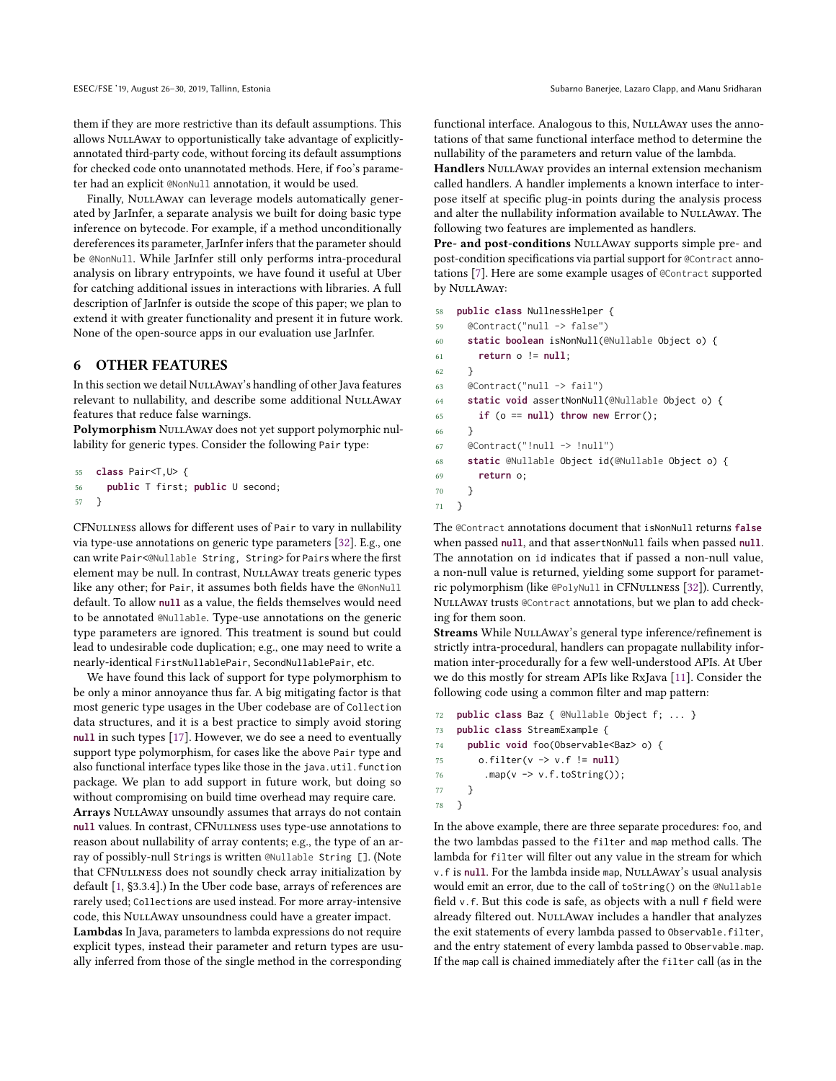them if they are more restrictive than its default assumptions. This allows NuLLAwAY to opportunistically take advantage of explicitlyannotated third-party code, without forcing its default assumptions for checked code onto unannotated methods. Here, if foo's parameter had an explicit @NonNull annotation, it would be used.

Finally, NuLLAway can leverage models automatically generated by JarInfer, a separate analysis we built for doing basic type inference on bytecode. For example, if a method unconditionally dereferences its parameter, JarInfer infers that the parameter should be @NonNull. While JarInfer still only performs intra-procedural analysis on library entrypoints, we have found it useful at Uber for catching additional issues in interactions with libraries. A full description of JarInfer is outside the scope of this paper; we plan to extend it with greater functionality and present it in future work. None of the open-source apps in our evaluation use JarInfer.

# <span id="page-5-0"></span>6 OTHER FEATURES

In this section we detail NULLAWAY's handling of other Java features relevant to nullability, and describe some additional NULLAWAY features that reduce false warnings.

Polymorphism NuLLAway does not yet support polymorphic nullability for generic types. Consider the following Pair type:

```
55 class Pair<T,U> {
56 public T first; public U second;
57 }
```
CFNullness allows for different uses of Pair to vary in nullability via type-use annotations on generic type parameters [\[32\]](#page-10-5). E.g., one can write Pair<@Nullable String, String> for Pairs where the first element may be null. In contrast, NuLLAway treats generic types like any other; for Pair, it assumes both fields have the @NonNull default. To allow **null** as a value, the fields themselves would need to be annotated @Nullable. Type-use annotations on the generic type parameters are ignored. This treatment is sound but could lead to undesirable code duplication; e.g., one may need to write a nearly-identical FirstNullablePair, SecondNullablePair, etc.

We have found this lack of support for type polymorphism to be only a minor annoyance thus far. A big mitigating factor is that most generic type usages in the Uber codebase are of Collection data structures, and it is a best practice to simply avoid storing **null** in such types [\[17\]](#page-10-20). However, we do see a need to eventually support type polymorphism, for cases like the above Pair type and also functional interface types like those in the java.util.function package. We plan to add support in future work, but doing so without compromising on build time overhead may require care. Arrays NuLLAwAY unsoundly assumes that arrays do not contain **null** values. In contrast, CFNullness uses type-use annotations to reason about nullability of array contents; e.g., the type of an array of possibly-null Strings is written @Nullable String []. (Note that CFNULLNESS does not soundly check array initialization by default [\[1,](#page-10-7) §3.3.4].) In the Uber code base, arrays of references are rarely used; Collections are used instead. For more array-intensive code, this NuLLAway unsoundness could have a greater impact.

Lambdas In Java, parameters to lambda expressions do not require explicit types, instead their parameter and return types are usually inferred from those of the single method in the corresponding

functional interface. Analogous to this, NULLAWAY uses the annotations of that same functional interface method to determine the nullability of the parameters and return value of the lambda.

Handlers NULLAway provides an internal extension mechanism called handlers. A handler implements a known interface to interpose itself at specific plug-in points during the analysis process and alter the nullability information available to NULLAWAY. The following two features are implemented as handlers.

Pre- and post-conditions NULLAWAY supports simple pre- and post-condition specifications via partial support for @Contract annotations [\[7\]](#page-10-21). Here are some example usages of @Contract supported by NullAway:

- 58 **public class** NullnessHelper {
- 59 @Contract("null -> false") 60 **static boolean** isNonNull(@Nullable Object o) { 61 **return** o != **null**; 62 } 63 @Contract("null -> fail") 64 **static void** assertNonNull(@Nullable Object o) { 65 **if** (o == **null**) **throw new** Error(); 66 } 67 @Contract("!null -> !null") 68 **static** @Nullable Object id(@Nullable Object o) { 69 **return** o; 70 } 71 }

The @Contract annotations document that isNonNull returns **false** when passed **null**, and that assertNonNull fails when passed **null**. The annotation on id indicates that if passed a non-null value, a non-null value is returned, yielding some support for parametric polymorphism (like @PolyNull in CFNullness [\[32\]](#page-10-5)). Currently, NullAway trusts @Contract annotations, but we plan to add checking for them soon.

Streams While NULLAwAY's general type inference/refinement is strictly intra-procedural, handlers can propagate nullability information inter-procedurally for a few well-understood APIs. At Uber we do this mostly for stream APIs like RxJava [\[11\]](#page-10-22). Consider the following code using a common filter and map pattern:

```
72 public class Baz { @Nullable Object f; ... }
73 public class StreamExample {
74 public void foo(Observable<Baz> o) {
75 o.filter(v -> v.f != null)
76 .map(v -> v.f.toString());
77 }
78 }
```
In the above example, there are three separate procedures: foo, and the two lambdas passed to the filter and map method calls. The lambda for filter will filter out any value in the stream for which v.f is null. For the lambda inside map, NULLAWAY's usual analysis would emit an error, due to the call of toString() on the @Nullable field v.f. But this code is safe, as objects with a null f field were already filtered out. NULLAWAY includes a handler that analyzes the exit statements of every lambda passed to Observable.filter, and the entry statement of every lambda passed to Observable.map. If the map call is chained immediately after the filter call (as in the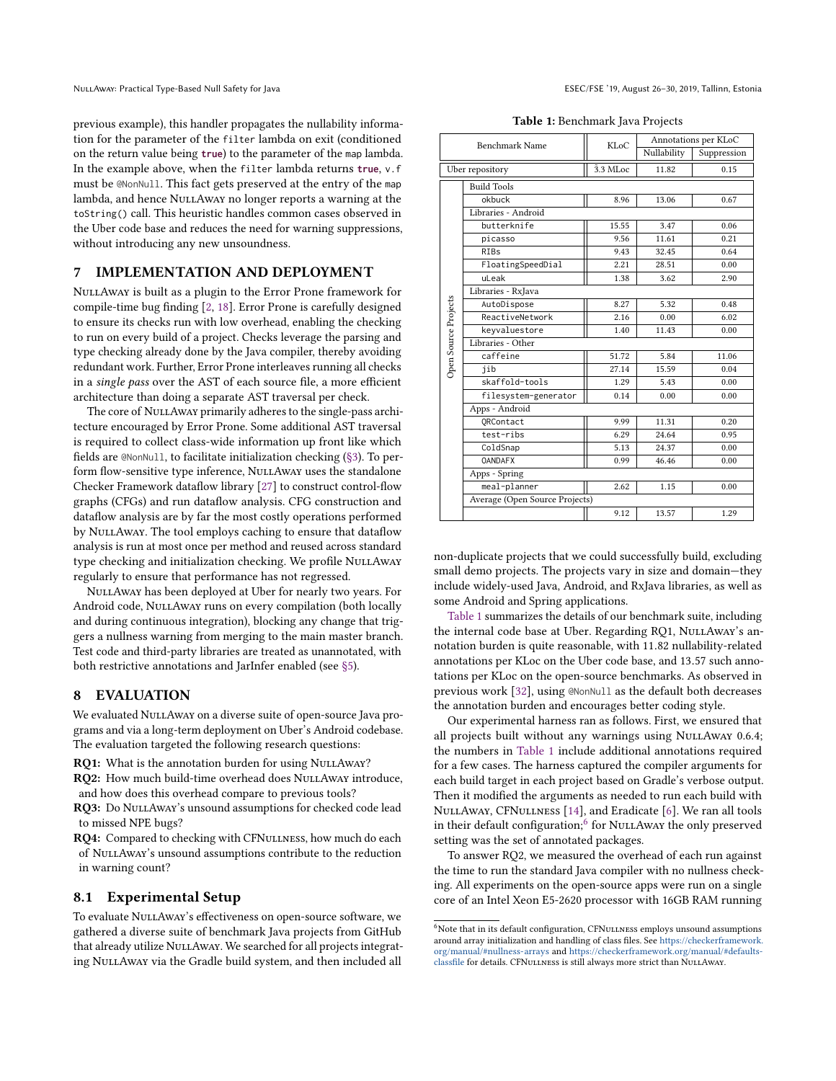previous example), this handler propagates the nullability information for the parameter of the filter lambda on exit (conditioned on the return value being **true**) to the parameter of the map lambda. In the example above, when the filter lambda returns **true**, v.f must be @NonNull. This fact gets preserved at the entry of the map lambda, and hence NuLLAway no longer reports a warning at the toString() call. This heuristic handles common cases observed in the Uber code base and reduces the need for warning suppressions, without introducing any new unsoundness.

#### 7 IMPLEMENTATION AND DEPLOYMENT

NullAway is built as a plugin to the Error Prone framework for compile-time bug finding [\[2,](#page-10-23) [18\]](#page-10-6). Error Prone is carefully designed to ensure its checks run with low overhead, enabling the checking to run on every build of a project. Checks leverage the parsing and type checking already done by the Java compiler, thereby avoiding redundant work. Further, Error Prone interleaves running all checks in a single pass over the AST of each source file, a more efficient architecture than doing a separate AST traversal per check.

The core of NuLLAway primarily adheres to the single-pass architecture encouraged by Error Prone. Some additional AST traversal is required to collect class-wide information up front like which fields are @NonNull, to facilitate initialization checking [\(§3\)](#page-2-0). To perform flow-sensitive type inference, NULLAWAY uses the standalone Checker Framework dataflow library [\[27\]](#page-10-24) to construct control-flow graphs (CFGs) and run dataflow analysis. CFG construction and dataflow analysis are by far the most costly operations performed by NULLAWAY. The tool employs caching to ensure that dataflow analysis is run at most once per method and reused across standard type checking and initialization checking. We profile NULLAWAY regularly to ensure that performance has not regressed.

NullAway has been deployed at Uber for nearly two years. For Android code, NuLLAway runs on every compilation (both locally and during continuous integration), blocking any change that triggers a nullness warning from merging to the main master branch. Test code and third-party libraries are treated as unannotated, with both restrictive annotations and JarInfer enabled (see [§5\)](#page-4-0).

## <span id="page-6-0"></span>8 EVALUATION

We evaluated NULLAway on a diverse suite of open-source Java programs and via a long-term deployment on Uber's Android codebase. The evaluation targeted the following research questions:

RQ1: What is the annotation burden for using NULLAWAY?

RQ2: How much build-time overhead does NULLAWAY introduce, and how does this overhead compare to previous tools?

RQ3: Do NuLLAway's unsound assumptions for checked code lead to missed NPE bugs?

RQ4: Compared to checking with CFNULLNESS, how much do each of NuLLAway's unsound assumptions contribute to the reduction in warning count?

#### 8.1 Experimental Setup

To evaluate NULLAway's effectiveness on open-source software, we gathered a diverse suite of benchmark Java projects from GitHub that already utilize NULLAWAY. We searched for all projects integrating NuLLAway via the Gradle build system, and then included all

Table 1: Benchmark Java Projects

<span id="page-6-1"></span>

| Benchmark Name       |                                | KLoC     | Annotations per KLoC |             |  |  |  |  |
|----------------------|--------------------------------|----------|----------------------|-------------|--|--|--|--|
|                      |                                |          | Nullability          | Suppression |  |  |  |  |
| Uber repository      |                                | 3.3 MLoc | 11.82                | 0.15        |  |  |  |  |
|                      | <b>Build Tools</b>             |          |                      |             |  |  |  |  |
|                      | okbuck                         | 8.96     | 13.06                | 0.67        |  |  |  |  |
|                      | Libraries - Android            |          |                      |             |  |  |  |  |
|                      | butterknife                    | 15.55    | 3.47                 | 0.06        |  |  |  |  |
|                      | picasso                        | 9.56     | 11.61                | 0.21        |  |  |  |  |
|                      | <b>RIBs</b>                    | 9.43     | 32.45                | 0.64        |  |  |  |  |
|                      | FloatingSpeedDial              | 2.21     | 28.51                | 0.00        |  |  |  |  |
|                      | uLeak                          | 1.38     | 3.62                 | 2.90        |  |  |  |  |
|                      | Libraries - RxJava             |          |                      |             |  |  |  |  |
|                      | AutoDispose                    | 8.27     | 5.32                 | 0.48        |  |  |  |  |
|                      | ReactiveNetwork                | 2.16     | 0.00                 | 6.02        |  |  |  |  |
|                      | keyvaluestore                  | 1.40     | 11.43                | 0.00        |  |  |  |  |
|                      | Libraries - Other              |          |                      |             |  |  |  |  |
| Open Source Projects | caffeine                       | 51.72    | 5.84                 | 11.06       |  |  |  |  |
|                      | jib                            | 27.14    | 15.59                | 0.04        |  |  |  |  |
|                      | skaffold-tools                 | 1.29     | 5.43                 | 0.00        |  |  |  |  |
|                      | filesystem-generator           | 0.14     | 0.00                 | 0.00        |  |  |  |  |
|                      | Apps - Android                 |          |                      |             |  |  |  |  |
|                      | ORContact                      | 9.99     | 11.31                | 0.20        |  |  |  |  |
|                      | test-ribs                      | 6.29     | 24.64                | 0.95        |  |  |  |  |
|                      | ColdSnap                       | 5.13     | 24.37                | 0.00        |  |  |  |  |
|                      | <b>OANDAFX</b>                 | 0.99     | 46.46                | 0.00        |  |  |  |  |
|                      | Apps - Spring                  |          |                      |             |  |  |  |  |
|                      | meal-planner                   | 2.62     | 1.15                 | 0.00        |  |  |  |  |
|                      | Average (Open Source Projects) |          |                      |             |  |  |  |  |
|                      |                                | 9.12     | 13.57                | 1.29        |  |  |  |  |

non-duplicate projects that we could successfully build, excluding small demo projects. The projects vary in size and domain—they include widely-used Java, Android, and RxJava libraries, as well as some Android and Spring applications.

[Table 1](#page-6-1) summarizes the details of our benchmark suite, including the internal code base at Uber. Regarding RQ1, NULLAwAY's annotation burden is quite reasonable, with <sup>11</sup>.<sup>82</sup> nullability-related annotations per KLoc on the Uber code base, and <sup>13</sup>.<sup>57</sup> such annotations per KLoc on the open-source benchmarks. As observed in previous work [\[32\]](#page-10-5), using @NonNull as the default both decreases the annotation burden and encourages better coding style.

Our experimental harness ran as follows. First, we ensured that all projects built without any warnings using NULLAWAY 0.6.4; the numbers in [Table 1](#page-6-1) include additional annotations required for a few cases. The harness captured the compiler arguments for each build target in each project based on Gradle's verbose output. Then it modified the arguments as needed to run each build with NullAway, CFNullness [\[14\]](#page-10-25), and Eradicate [\[6\]](#page-10-3). We ran all tools in their default configuration;<sup>[6](#page-6-2)</sup> for NuLLAway the only preserved setting was the set of annotated packages.

To answer RQ2, we measured the overhead of each run against the time to run the standard Java compiler with no nullness checking. All experiments on the open-source apps were run on a single core of an Intel Xeon E5-2620 processor with 16GB RAM running

<span id="page-6-2"></span> $^6\rm{Note}$  that in its default configuration, CFN<br>uLLNESS employs unsound assumptions around array initialization and handling of class files. See [https://checkerframework.](https://checkerframework.org/manual/#nullness-arrays) [org/manual/#nullness-arrays](https://checkerframework.org/manual/#nullness-arrays) and [https://checkerframework.org/manual/#defaults](https://checkerframework.org/manual/#defaults-classfile)[classfile](https://checkerframework.org/manual/#defaults-classfile) for details. CFNullness is still always more strict than NullAway.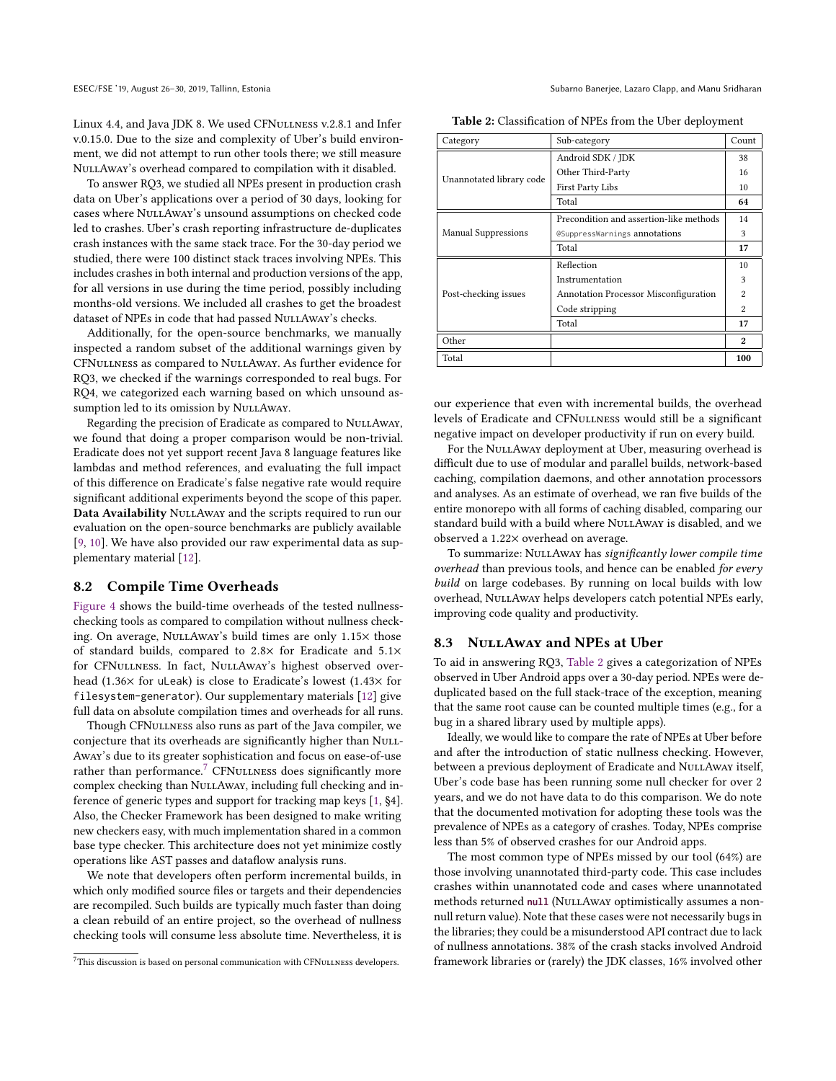Linux 4.4, and Java JDK 8. We used CFNULLNESS v.2.8.1 and Infer v.0.15.0. Due to the size and complexity of Uber's build environment, we did not attempt to run other tools there; we still measure NULLAWAY's overhead compared to compilation with it disabled.

To answer RQ3, we studied all NPEs present in production crash data on Uber's applications over a period of 30 days, looking for cases where NullAway's unsound assumptions on checked code led to crashes. Uber's crash reporting infrastructure de-duplicates crash instances with the same stack trace. For the 30-day period we studied, there were 100 distinct stack traces involving NPEs. This includes crashes in both internal and production versions of the app, for all versions in use during the time period, possibly including months-old versions. We included all crashes to get the broadest dataset of NPEs in code that had passed NULLAWAY's checks.

Additionally, for the open-source benchmarks, we manually inspected a random subset of the additional warnings given by CFNullness as compared to NullAway. As further evidence for RQ3, we checked if the warnings corresponded to real bugs. For RQ4, we categorized each warning based on which unsound assumption led to its omission by NULLAWAY.

Regarding the precision of Eradicate as compared to NULLAWAY, we found that doing a proper comparison would be non-trivial. Eradicate does not yet support recent Java 8 language features like lambdas and method references, and evaluating the full impact of this difference on Eradicate's false negative rate would require significant additional experiments beyond the scope of this paper. Data Availability NULLAWAY and the scripts required to run our evaluation on the open-source benchmarks are publicly available [\[9,](#page-10-8) [10\]](#page-10-26). We have also provided our raw experimental data as supplementary material [\[12\]](#page-10-27).

#### <span id="page-7-0"></span>8.2 Compile Time Overheads

[Figure 4](#page-8-1) shows the build-time overheads of the tested nullnesschecking tools as compared to compilation without nullness checking. On average, NuLLAway's build times are only 1.15× those of standard builds, compared to <sup>2</sup>.8<sup>×</sup> for Eradicate and <sup>5</sup>.1<sup>×</sup> for CFNULLNESS. In fact, NULLAWAY's highest observed overhead (1.36<sup>×</sup> for uLeak) is close to Eradicate's lowest (1.43<sup>×</sup> for filesystem-generator). Our supplementary materials [\[12\]](#page-10-27) give full data on absolute compilation times and overheads for all runs.

Though CFNULLNESS also runs as part of the Java compiler, we conjecture that its overheads are significantly higher than NuLL-Away's due to its greater sophistication and focus on ease-of-use rather than performance.<sup>[7](#page-7-2)</sup> CFNuLLNESS does significantly more complex checking than NuLLAway, including full checking and inference of generic types and support for tracking map keys [\[1,](#page-10-7) §4]. Also, the Checker Framework has been designed to make writing new checkers easy, with much implementation shared in a common base type checker. This architecture does not yet minimize costly operations like AST passes and dataflow analysis runs.

We note that developers often perform incremental builds, in which only modified source files or targets and their dependencies are recompiled. Such builds are typically much faster than doing a clean rebuild of an entire project, so the overhead of nullness checking tools will consume less absolute time. Nevertheless, it is

ESEC/FSE '19, August 26–30, 2019, Tallinn, Estonia Subarno Banerjee, Lazaro Clapp, and Manu Sridharan

<span id="page-7-3"></span>Table 2: Classification of NPEs from the Uber deployment

| Category                   | Sub-category                                 | Count                    |
|----------------------------|----------------------------------------------|--------------------------|
|                            | Android SDK / JDK                            | 38                       |
|                            | Other Third-Party                            | 16                       |
| Unannotated library code   | First Party Libs                             | 10                       |
|                            | Total                                        | 64                       |
|                            | Precondition and assertion-like methods      | 14                       |
| <b>Manual Suppressions</b> | @SuppressWarnings annotations                | 3                        |
|                            | Total                                        | 17                       |
|                            | Reflection                                   | 10                       |
|                            | Instrumentation                              | 3                        |
| Post-checking issues       | <b>Annotation Processor Misconfiguration</b> | $\overline{\mathcal{L}}$ |
|                            | Code stripping                               | $\overline{\mathbf{2}}$  |
|                            | Total                                        | 17                       |
| Other                      |                                              | $\boldsymbol{2}$         |
| Total                      |                                              | 100                      |

our experience that even with incremental builds, the overhead levels of Eradicate and CFNullness would still be a significant negative impact on developer productivity if run on every build.

For the NULLAWAY deployment at Uber, measuring overhead is difficult due to use of modular and parallel builds, network-based caching, compilation daemons, and other annotation processors and analyses. As an estimate of overhead, we ran five builds of the entire monorepo with all forms of caching disabled, comparing our standard build with a build where NULLAWAY is disabled, and we observed a <sup>1</sup>.22<sup>×</sup> overhead on average.

To summarize: NULLAWAY has significantly lower compile time overhead than previous tools, and hence can be enabled for every build on large codebases. By running on local builds with low overhead, NuLLAway helps developers catch potential NPEs early, improving code quality and productivity.

#### <span id="page-7-1"></span>8.3 NULLAWAY and NPEs at Uber

To aid in answering RQ3, [Table 2](#page-7-3) gives a categorization of NPEs observed in Uber Android apps over a 30-day period. NPEs were deduplicated based on the full stack-trace of the exception, meaning that the same root cause can be counted multiple times (e.g., for a bug in a shared library used by multiple apps).

Ideally, we would like to compare the rate of NPEs at Uber before and after the introduction of static nullness checking. However, between a previous deployment of Eradicate and NULLAWAY itself, Uber's code base has been running some null checker for over 2 years, and we do not have data to do this comparison. We do note that the documented motivation for adopting these tools was the prevalence of NPEs as a category of crashes. Today, NPEs comprise less than 5% of observed crashes for our Android apps.

The most common type of NPEs missed by our tool (64%) are those involving unannotated third-party code. This case includes crashes within unannotated code and cases where unannotated methods returned null (NULLAWAY optimistically assumes a nonnull return value). Note that these cases were not necessarily bugs in the libraries; they could be a misunderstood API contract due to lack of nullness annotations. 38% of the crash stacks involved Android framework libraries or (rarely) the JDK classes, 16% involved other

<span id="page-7-2"></span> $7$ This discussion is based on personal communication with CFNULLNESS developers.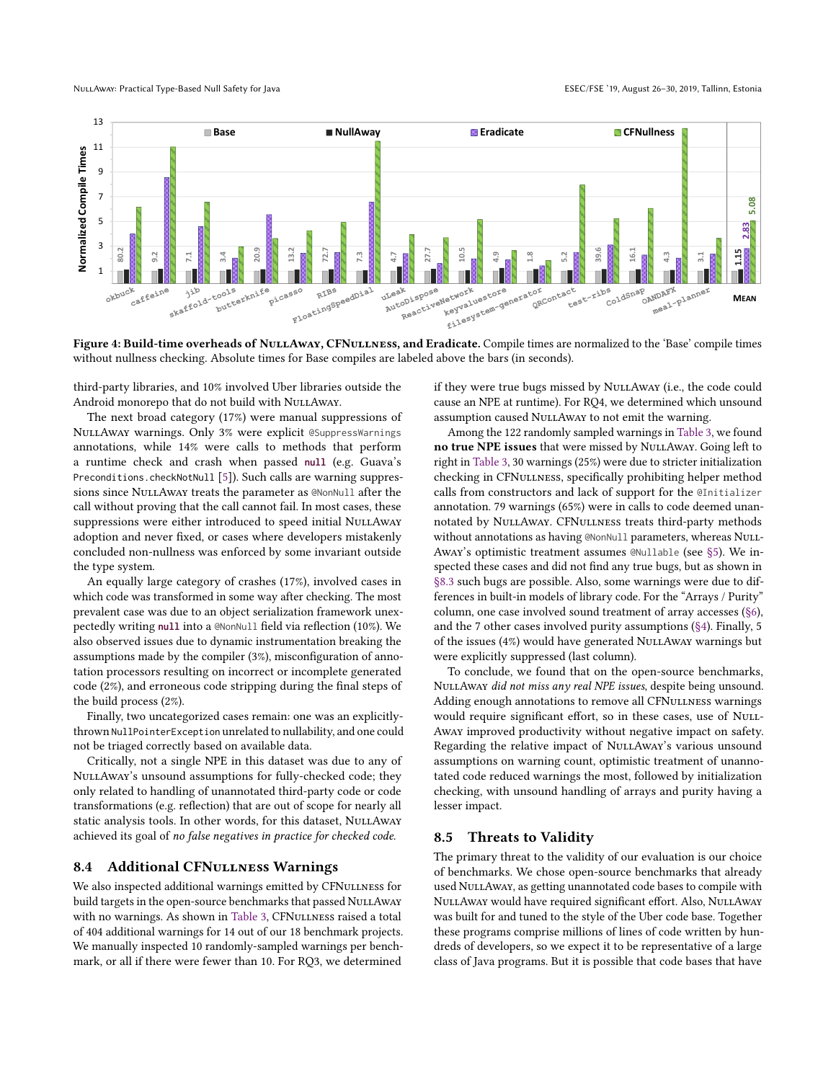<span id="page-8-1"></span>

without nullness checking. Absolute times for Base compiles are labeled above the bars (in seconds).

third-party libraries, and 10% involved Uber libraries outside the Android monorepo that do not build with NULLAWAY.

The next broad category (17%) were manual suppressions of NullAway warnings. Only 3% were explicit @SuppressWarnings annotations, while 14% were calls to methods that perform a runtime check and crash when passed **null** (e.g. Guava's Preconditions.checkNotNull [\[5\]](#page-10-28)). Such calls are warning suppressions since NuLLAway treats the parameter as @NonNull after the call without proving that the call cannot fail. In most cases, these suppressions were either introduced to speed initial NULLAWAY adoption and never fixed, or cases where developers mistakenly concluded non-nullness was enforced by some invariant outside the type system.

An equally large category of crashes (17%), involved cases in which code was transformed in some way after checking. The most prevalent case was due to an object serialization framework unexpectedly writing **null** into a @NonNull field via reflection (10%). We also observed issues due to dynamic instrumentation breaking the assumptions made by the compiler (3%), misconfiguration of annotation processors resulting on incorrect or incomplete generated code (2%), and erroneous code stripping during the final steps of the build process (2%).

Finally, two uncategorized cases remain: one was an explicitlythrown NullPointerException unrelated to nullability, and one could not be triaged correctly based on available data.

Critically, not a single NPE in this dataset was due to any of NULLAWAY's unsound assumptions for fully-checked code; they only related to handling of unannotated third-party code or code transformations (e.g. reflection) that are out of scope for nearly all static analysis tools. In other words, for this dataset, NULLAWAY achieved its goal of no false negatives in practice for checked code.

#### <span id="page-8-0"></span>8.4 Additional CFNuLLNESS Warnings

We also inspected additional warnings emitted by CFNULLNESS for build targets in the open-source benchmarks that passed NULLAWAY with no warnings. As shown in [Table 3,](#page-9-0) CFNULLNESS raised a total of 404 additional warnings for 14 out of our 18 benchmark projects. We manually inspected 10 randomly-sampled warnings per benchmark, or all if there were fewer than 10. For RQ3, we determined

if they were true bugs missed by NULLAWAY (i.e., the code could cause an NPE at runtime). For RQ4, we determined which unsound assumption caused NULLAWAY to not emit the warning.

Among the 122 randomly sampled warnings in [Table 3,](#page-9-0) we found no true NPE issues that were missed by NULLAWAY. Going left to right in [Table 3,](#page-9-0) 30 warnings (25%) were due to stricter initialization checking in CFNullness, specifically prohibiting helper method calls from constructors and lack of support for the @Initializer annotation. 79 warnings (65%) were in calls to code deemed unannotated by NullAway. CFNullness treats third-party methods without annotations as having @NonNull parameters, whereas NuLL-Away's optimistic treatment assumes @Nullable (see [§5\)](#page-4-0). We inspected these cases and did not find any true bugs, but as shown in [§8.3](#page-7-1) such bugs are possible. Also, some warnings were due to differences in built-in models of library code. For the "Arrays / Purity" column, one case involved sound treatment of array accesses [\(§6\)](#page-5-0), and the 7 other cases involved purity assumptions [\(§4\)](#page-3-0). Finally, 5 of the issues (4%) would have generated NULLAWAY warnings but were explicitly suppressed (last column).

To conclude, we found that on the open-source benchmarks, NULLAWAY did not miss any real NPE issues, despite being unsound. Adding enough annotations to remove all CFNULLNESS warnings would require significant effort, so in these cases, use of NULL-Away improved productivity without negative impact on safety. Regarding the relative impact of NuLLAway's various unsound assumptions on warning count, optimistic treatment of unannotated code reduced warnings the most, followed by initialization checking, with unsound handling of arrays and purity having a lesser impact.

#### 8.5 Threats to Validity

The primary threat to the validity of our evaluation is our choice of benchmarks. We chose open-source benchmarks that already used NuLLAway, as getting unannotated code bases to compile with NULLAWAY would have required significant effort. Also, NULLAWAY was built for and tuned to the style of the Uber code base. Together these programs comprise millions of lines of code written by hundreds of developers, so we expect it to be representative of a large class of Java programs. But it is possible that code bases that have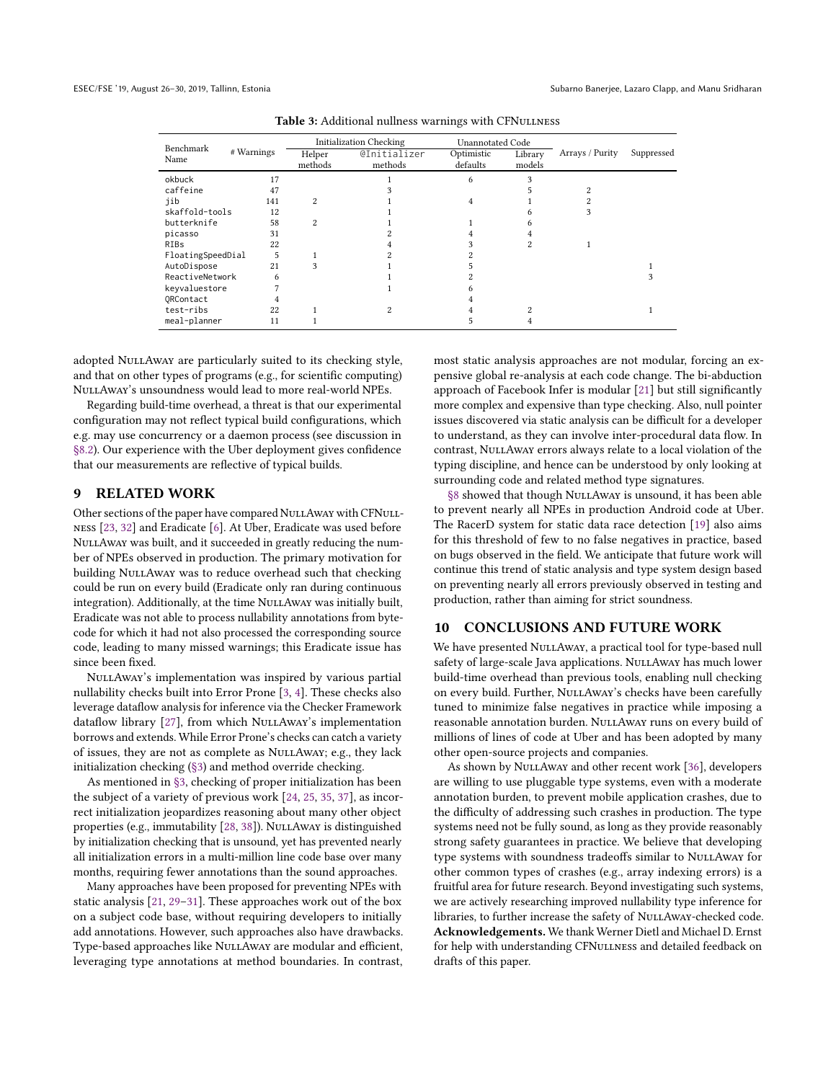<span id="page-9-0"></span>

|                      | # Warnings | <b>Initialization Checking</b> |                                | <b>Unannotated Code</b> |                   |                 |            |
|----------------------|------------|--------------------------------|--------------------------------|-------------------------|-------------------|-----------------|------------|
| Benchmark<br>Name    |            | Helper<br>methods              | <b>@Initializer</b><br>methods | Optimistic<br>defaults  | Library<br>models | Arrays / Purity | Suppressed |
| okbuck               | 17         |                                |                                | 6                       |                   |                 |            |
| caffeine             | 47         |                                |                                |                         |                   |                 |            |
| iib                  | 141        | $\overline{c}$                 |                                | 4                       |                   |                 |            |
| skaffold-tools       | 12         |                                |                                |                         |                   |                 |            |
| butterknife          | 58         | $\overline{c}$                 |                                |                         |                   |                 |            |
| picasso              | 31         |                                |                                |                         |                   |                 |            |
| <b>RIBs</b>          | 22         |                                |                                |                         |                   |                 |            |
| FloatingSpeedDial    | 5          |                                |                                |                         |                   |                 |            |
| AutoDispose          | 21         | 3                              |                                |                         |                   |                 |            |
| ReactiveNetwork<br>6 |            |                                |                                |                         |                   |                 |            |
| keyvaluestore        |            |                                |                                |                         |                   |                 |            |
| ORContact            |            |                                |                                |                         |                   |                 |            |
| test-ribs            | 22         |                                |                                |                         | $\mathfrak{D}$    |                 |            |
| meal-planner         | 11         |                                |                                |                         |                   |                 |            |

Table 3: Additional nullness warnings with CFNULLNESS

adopted NuLLAwAY are particularly suited to its checking style, and that on other types of programs (e.g., for scientific computing) NullAway's unsoundness would lead to more real-world NPEs.

Regarding build-time overhead, a threat is that our experimental configuration may not reflect typical build configurations, which e.g. may use concurrency or a daemon process (see discussion in [§8.2\)](#page-7-0). Our experience with the Uber deployment gives confidence that our measurements are reflective of typical builds.

## 9 RELATED WORK

Other sections of the paper have compared NULLAWAY with CFNULLness [\[23,](#page-10-4) [32\]](#page-10-5) and Eradicate [\[6\]](#page-10-3). At Uber, Eradicate was used before NullAway was built, and it succeeded in greatly reducing the number of NPEs observed in production. The primary motivation for building NULLAWAY was to reduce overhead such that checking could be run on every build (Eradicate only ran during continuous integration). Additionally, at the time NuLLAway was initially built, Eradicate was not able to process nullability annotations from bytecode for which it had not also processed the corresponding source code, leading to many missed warnings; this Eradicate issue has since been fixed.

NULLAWAY's implementation was inspired by various partial nullability checks built into Error Prone [\[3,](#page-10-29) [4\]](#page-10-30). These checks also leverage dataflow analysis for inference via the Checker Framework dataflow library [\[27\]](#page-10-24), from which NuLLAway's implementation borrows and extends. While Error Prone's checks can catch a variety of issues, they are not as complete as NullAway; e.g., they lack initialization checking [\(§3\)](#page-2-0) and method override checking.

As mentioned in [§3,](#page-2-0) checking of proper initialization has been the subject of a variety of previous work [\[24,](#page-10-11) [25,](#page-10-12) [35,](#page-10-13) [37\]](#page-10-14), as incorrect initialization jeopardizes reasoning about many other object properties (e.g., immutability [\[28,](#page-10-31) [38\]](#page-10-32)). NuLLAway is distinguished by initialization checking that is unsound, yet has prevented nearly all initialization errors in a multi-million line code base over many months, requiring fewer annotations than the sound approaches.

Many approaches have been proposed for preventing NPEs with static analysis [\[21,](#page-10-33) [29–](#page-10-34)[31\]](#page-10-35). These approaches work out of the box on a subject code base, without requiring developers to initially add annotations. However, such approaches also have drawbacks. Type-based approaches like NULLAWAY are modular and efficient, leveraging type annotations at method boundaries. In contrast, most static analysis approaches are not modular, forcing an expensive global re-analysis at each code change. The bi-abduction approach of Facebook Infer is modular [\[21\]](#page-10-33) but still significantly more complex and expensive than type checking. Also, null pointer issues discovered via static analysis can be difficult for a developer to understand, as they can involve inter-procedural data flow. In contrast, NuLLAway errors always relate to a local violation of the typing discipline, and hence can be understood by only looking at surrounding code and related method type signatures.

[§8](#page-6-0) showed that though NULLAWAY is unsound, it has been able to prevent nearly all NPEs in production Android code at Uber. The RacerD system for static data race detection [\[19\]](#page-10-36) also aims for this threshold of few to no false negatives in practice, based on bugs observed in the field. We anticipate that future work will continue this trend of static analysis and type system design based on preventing nearly all errors previously observed in testing and production, rather than aiming for strict soundness.

#### 10 CONCLUSIONS AND FUTURE WORK

We have presented NULLAWAY, a practical tool for type-based null safety of large-scale Java applications. NuLLAway has much lower build-time overhead than previous tools, enabling null checking on every build. Further, NULLAway's checks have been carefully tuned to minimize false negatives in practice while imposing a reasonable annotation burden. NuLLAway runs on every build of millions of lines of code at Uber and has been adopted by many other open-source projects and companies.

As shown by NULLAWAY and other recent work [\[36\]](#page-10-37), developers are willing to use pluggable type systems, even with a moderate annotation burden, to prevent mobile application crashes, due to the difficulty of addressing such crashes in production. The type systems need not be fully sound, as long as they provide reasonably strong safety guarantees in practice. We believe that developing type systems with soundness tradeoffs similar to NULLAWAY for other common types of crashes (e.g., array indexing errors) is a fruitful area for future research. Beyond investigating such systems, we are actively researching improved nullability type inference for libraries, to further increase the safety of NuLLAway-checked code. Acknowledgements. We thank Werner Dietl and Michael D. Ernst for help with understanding CFNULLNESS and detailed feedback on drafts of this paper.